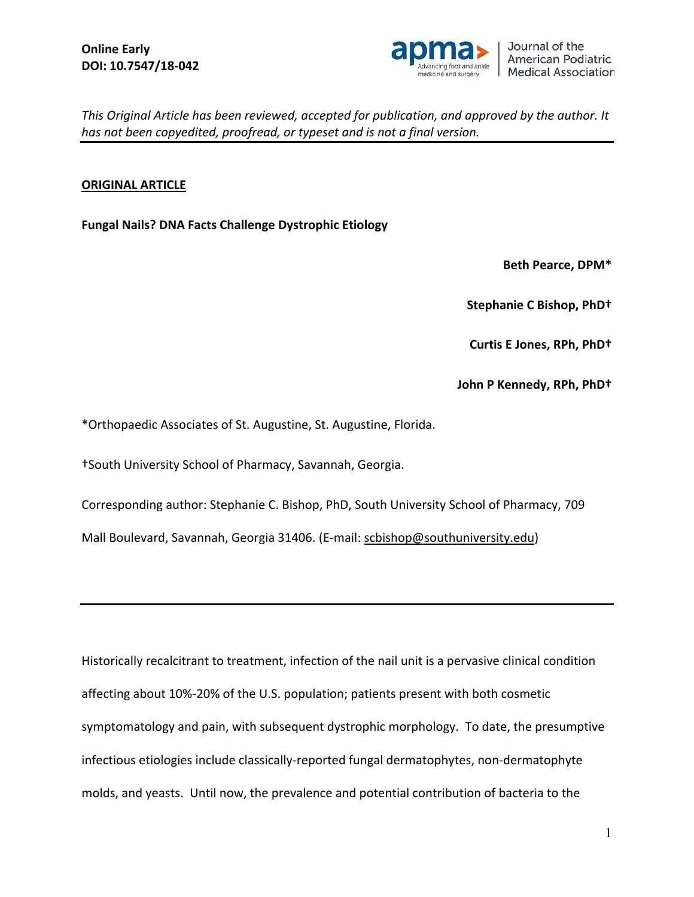

### **ORIGINAL ARTICLE**

**Fungal Nails? DNA Facts Challenge Dystrophic Etiology**

**Beth Pearce, DPM\***

**Stephanie C Bishop, PhD†**

**Curtis E Jones, RPh, PhD†**

**John P Kennedy, RPh, PhD†**

\*Orthopaedic Associates of St. Augustine, St. Augustine, Florida.

†South University School of Pharmacy, Savannah, Georgia.

Corresponding author: Stephanie C. Bishop, PhD, South University School of Pharmacy, 709

Mall Boulevard, Savannah, Georgia 31406. (E-mail: [scbishop@southuniversity.edu\)](mailto:scbishop@southuniversity.edu)

Historically recalcitrant to treatment, infection of the nail unit is a pervasive clinical condition affecting about 10%-20% of the U.S. population; patients present with both cosmetic symptomatology and pain, with subsequent dystrophic morphology. To date, the presumptive infectious etiologies include classically-reported fungal dermatophytes, non-dermatophyte molds, and yeasts. Until now, the prevalence and potential contribution of bacteria to the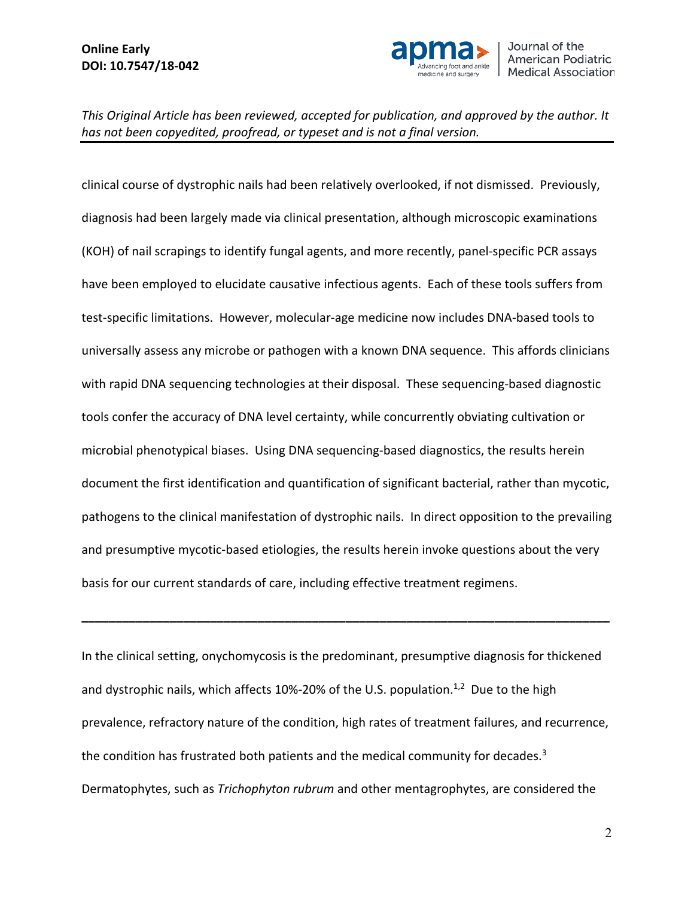

clinical course of dystrophic nails had been relatively overlooked, if not dismissed. Previously, diagnosis had been largely made via clinical presentation, although microscopic examinations (KOH) of nail scrapings to identify fungal agents, and more recently, panel-specific PCR assays have been employed to elucidate causative infectious agents. Each of these tools suffers from test-specific limitations. However, molecular-age medicine now includes DNA-based tools to universally assess any microbe or pathogen with a known DNA sequence. This affords clinicians with rapid DNA sequencing technologies at their disposal. These sequencing-based diagnostic tools confer the accuracy of DNA level certainty, while concurrently obviating cultivation or microbial phenotypical biases. Using DNA sequencing-based diagnostics, the results herein document the first identification and quantification of significant bacterial, rather than mycotic, pathogens to the clinical manifestation of dystrophic nails. In direct opposition to the prevailing and presumptive mycotic-based etiologies, the results herein invoke questions about the very basis for our current standards of care, including effective treatment regimens.

In the clinical setting, onychomycosis is the predominant, presumptive diagnosis for thickened and dystrophic nails, which affects 10%-20% of the U.S. population.<sup>1,2</sup> Due to the high prevalence, refractory nature of the condition, high rates of treatment failures, and recurrence, the condition has frustrated both patients and the medical community for decades.<sup>3</sup> Dermatophytes, such as *Trichophyton rubrum* and other mentagrophytes, are considered the

**\_\_\_\_\_\_\_\_\_\_\_\_\_\_\_\_\_\_\_\_\_\_\_\_\_\_\_\_\_\_\_\_\_\_\_\_\_\_\_\_\_\_\_\_\_\_\_\_\_\_\_\_\_\_\_\_\_\_\_\_\_\_\_\_\_\_\_\_\_\_\_\_\_\_\_\_\_\_**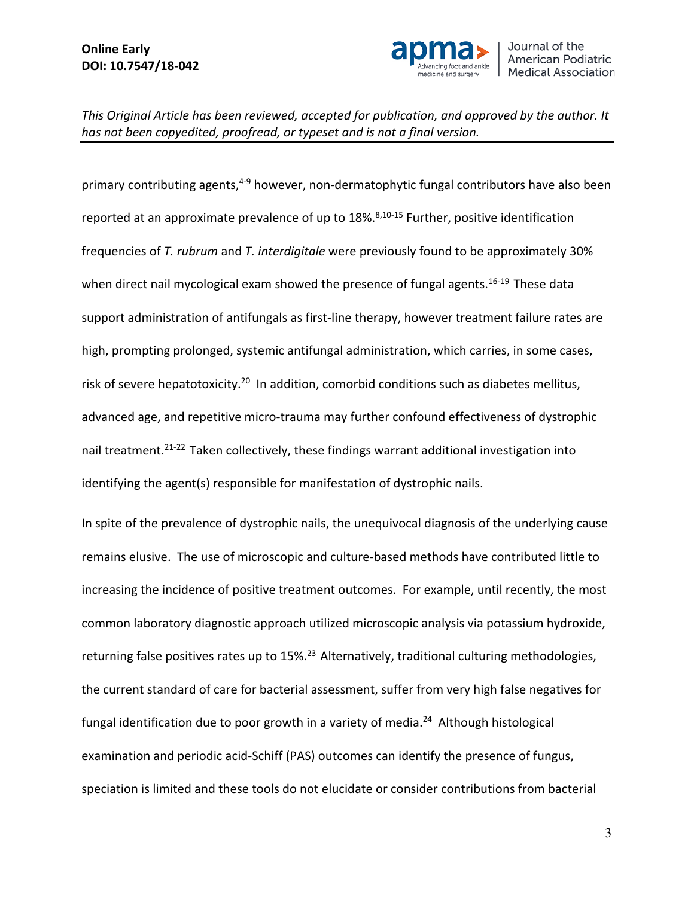

primary contributing agents,<sup>4-9</sup> however, non-dermatophytic fungal contributors have also been reported at an approximate prevalence of up to  $18\%$ .<sup>8,10-15</sup> Further, positive identification frequencies of *T. rubrum* and *T. interdigitale* were previously found to be approximately 30% when direct nail mycological exam showed the presence of fungal agents.<sup>16-19</sup> These data support administration of antifungals as first-line therapy, however treatment failure rates are high, prompting prolonged, systemic antifungal administration, which carries, in some cases, risk of severe hepatotoxicity.20 In addition, comorbid conditions such as diabetes mellitus, advanced age, and repetitive micro-trauma may further confound effectiveness of dystrophic nail treatment.<sup>21-22</sup> Taken collectively, these findings warrant additional investigation into identifying the agent(s) responsible for manifestation of dystrophic nails.

In spite of the prevalence of dystrophic nails, the unequivocal diagnosis of the underlying cause remains elusive. The use of microscopic and culture-based methods have contributed little to increasing the incidence of positive treatment outcomes. For example, until recently, the most common laboratory diagnostic approach utilized microscopic analysis via potassium hydroxide, returning false positives rates up to 15%.<sup>23</sup> Alternatively, traditional culturing methodologies, the current standard of care for bacterial assessment, suffer from very high false negatives for fungal identification due to poor growth in a variety of media.<sup>24</sup> Although histological examination and periodic acid-Schiff (PAS) outcomes can identify the presence of fungus, speciation is limited and these tools do not elucidate or consider contributions from bacterial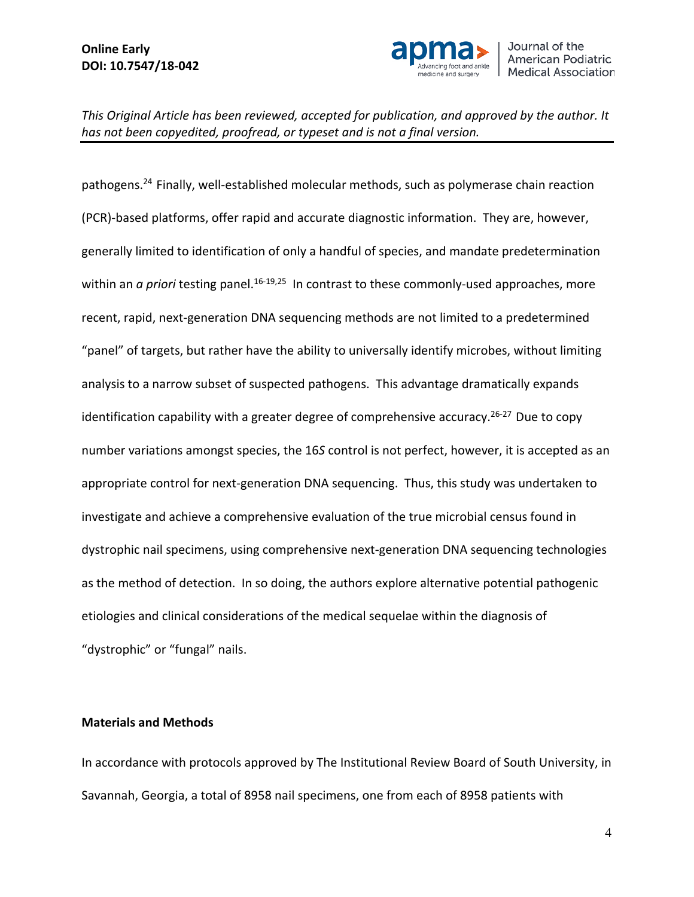

pathogens.24 Finally, well-established molecular methods, such as polymerase chain reaction (PCR)-based platforms, offer rapid and accurate diagnostic information. They are, however, generally limited to identification of only a handful of species, and mandate predetermination within an *a priori* testing panel.<sup>16-19,25</sup> In contrast to these commonly-used approaches, more recent, rapid, next-generation DNA sequencing methods are not limited to a predetermined "panel" of targets, but rather have the ability to universally identify microbes, without limiting analysis to a narrow subset of suspected pathogens. This advantage dramatically expands identification capability with a greater degree of comprehensive accuracy.<sup>26-27</sup> Due to copy number variations amongst species, the 16*S* control is not perfect, however, it is accepted as an appropriate control for next-generation DNA sequencing. Thus, this study was undertaken to investigate and achieve a comprehensive evaluation of the true microbial census found in dystrophic nail specimens, using comprehensive next-generation DNA sequencing technologies as the method of detection. In so doing, the authors explore alternative potential pathogenic etiologies and clinical considerations of the medical sequelae within the diagnosis of "dystrophic" or "fungal" nails.

#### **Materials and Methods**

In accordance with protocols approved by The Institutional Review Board of South University, in Savannah, Georgia, a total of 8958 nail specimens, one from each of 8958 patients with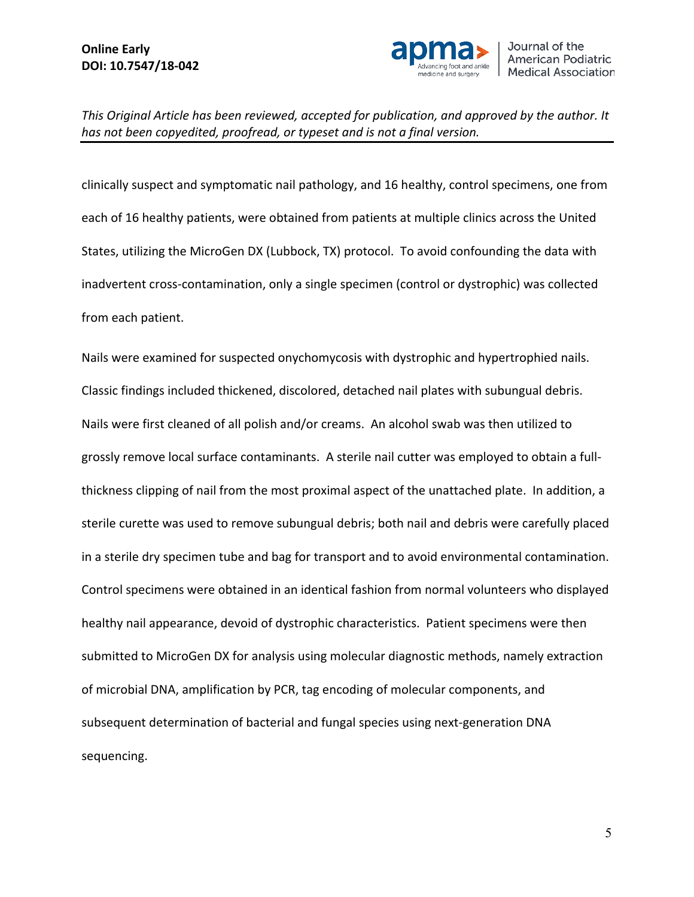

clinically suspect and symptomatic nail pathology, and 16 healthy, control specimens, one from each of 16 healthy patients, were obtained from patients at multiple clinics across the United States, utilizing the MicroGen DX (Lubbock, TX) protocol. To avoid confounding the data with inadvertent cross-contamination, only a single specimen (control or dystrophic) was collected from each patient.

Nails were examined for suspected onychomycosis with dystrophic and hypertrophied nails. Classic findings included thickened, discolored, detached nail plates with subungual debris. Nails were first cleaned of all polish and/or creams. An alcohol swab was then utilized to grossly remove local surface contaminants. A sterile nail cutter was employed to obtain a fullthickness clipping of nail from the most proximal aspect of the unattached plate. In addition, a sterile curette was used to remove subungual debris; both nail and debris were carefully placed in a sterile dry specimen tube and bag for transport and to avoid environmental contamination. Control specimens were obtained in an identical fashion from normal volunteers who displayed healthy nail appearance, devoid of dystrophic characteristics. Patient specimens were then submitted to MicroGen DX for analysis using molecular diagnostic methods, namely extraction of microbial DNA, amplification by PCR, tag encoding of molecular components, and subsequent determination of bacterial and fungal species using next-generation DNA sequencing.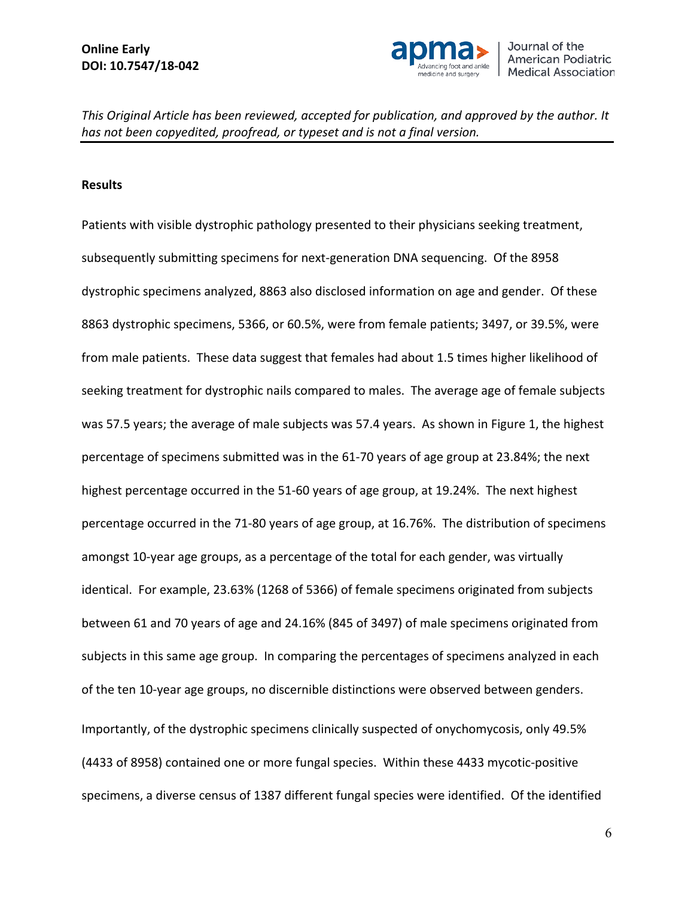

#### **Results**

Patients with visible dystrophic pathology presented to their physicians seeking treatment, subsequently submitting specimens for next-generation DNA sequencing. Of the 8958 dystrophic specimens analyzed, 8863 also disclosed information on age and gender. Of these 8863 dystrophic specimens, 5366, or 60.5%, were from female patients; 3497, or 39.5%, were from male patients. These data suggest that females had about 1.5 times higher likelihood of seeking treatment for dystrophic nails compared to males. The average age of female subjects was 57.5 years; the average of male subjects was 57.4 years. As shown in Figure 1, the highest percentage of specimens submitted was in the 61-70 years of age group at 23.84%; the next highest percentage occurred in the 51-60 years of age group, at 19.24%. The next highest percentage occurred in the 71-80 years of age group, at 16.76%. The distribution of specimens amongst 10-year age groups, as a percentage of the total for each gender, was virtually identical. For example, 23.63% (1268 of 5366) of female specimens originated from subjects between 61 and 70 years of age and 24.16% (845 of 3497) of male specimens originated from subjects in this same age group. In comparing the percentages of specimens analyzed in each of the ten 10-year age groups, no discernible distinctions were observed between genders. Importantly, of the dystrophic specimens clinically suspected of onychomycosis, only 49.5% (4433 of 8958) contained one or more fungal species. Within these 4433 mycotic-positive specimens, a diverse census of 1387 different fungal species were identified. Of the identified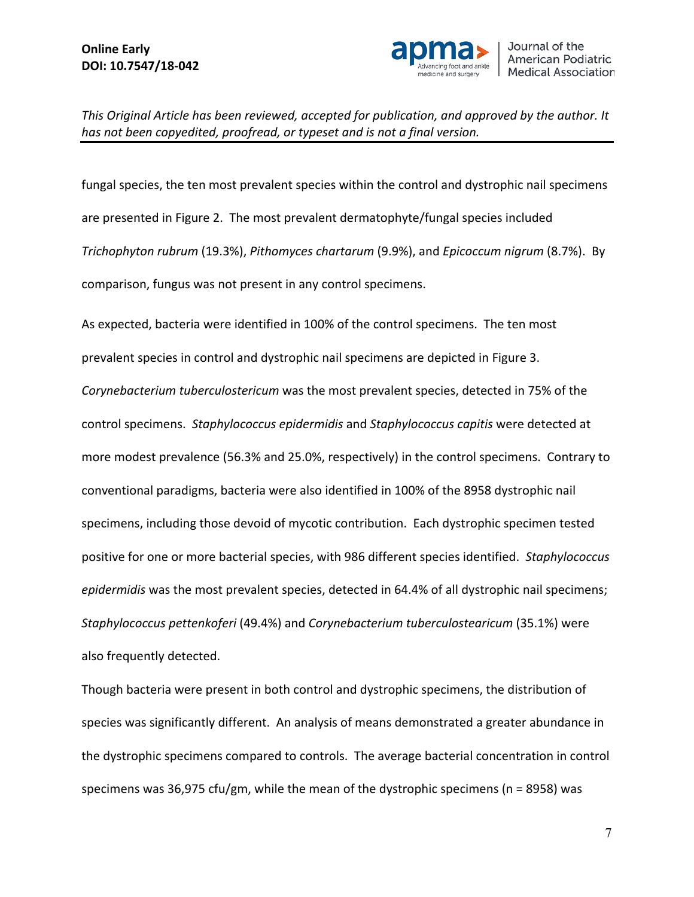

fungal species, the ten most prevalent species within the control and dystrophic nail specimens are presented in Figure 2. The most prevalent dermatophyte/fungal species included *Trichophyton rubrum* (19.3%), *Pithomyces chartarum* (9.9%), and *Epicoccum nigrum* (8.7%). By comparison, fungus was not present in any control specimens.

As expected, bacteria were identified in 100% of the control specimens. The ten most prevalent species in control and dystrophic nail specimens are depicted in Figure 3. *Corynebacterium tuberculostericum* was the most prevalent species, detected in 75% of the control specimens. *Staphylococcus epidermidis* and *Staphylococcus capitis* were detected at more modest prevalence (56.3% and 25.0%, respectively) in the control specimens. Contrary to conventional paradigms, bacteria were also identified in 100% of the 8958 dystrophic nail specimens, including those devoid of mycotic contribution. Each dystrophic specimen tested positive for one or more bacterial species, with 986 different species identified. *Staphylococcus epidermidis* was the most prevalent species, detected in 64.4% of all dystrophic nail specimens; *Staphylococcus pettenkoferi* (49.4%) and *Corynebacterium tuberculostearicum* (35.1%) were also frequently detected.

Though bacteria were present in both control and dystrophic specimens, the distribution of species was significantly different. An analysis of means demonstrated a greater abundance in the dystrophic specimens compared to controls. The average bacterial concentration in control specimens was 36,975 cfu/gm, while the mean of the dystrophic specimens ( $n = 8958$ ) was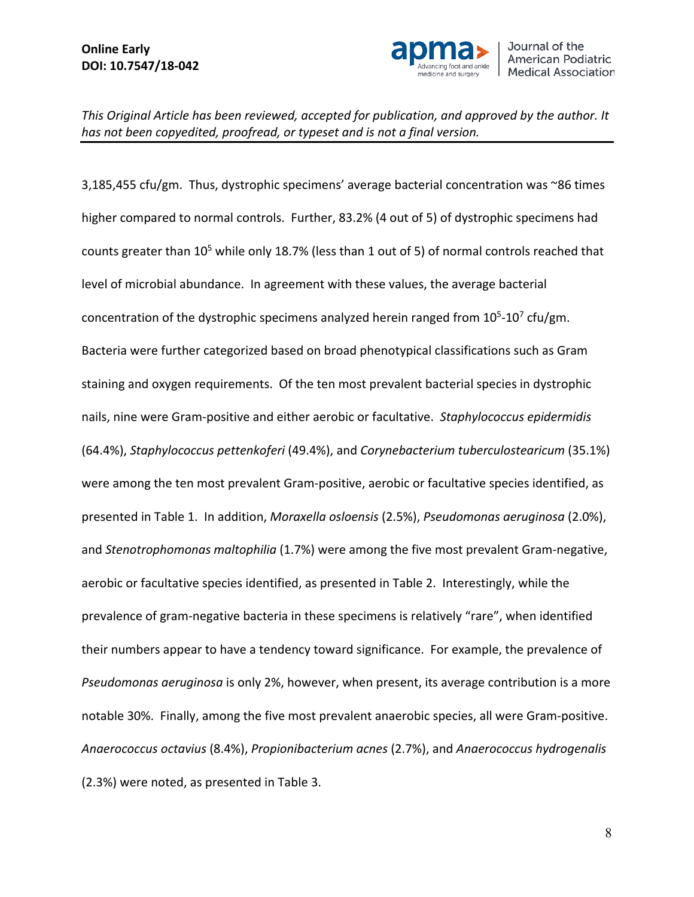

3,185,455 cfu/gm. Thus, dystrophic specimens' average bacterial concentration was ~86 times higher compared to normal controls. Further, 83.2% (4 out of 5) of dystrophic specimens had counts greater than 10<sup>5</sup> while only 18.7% (less than 1 out of 5) of normal controls reached that level of microbial abundance. In agreement with these values, the average bacterial concentration of the dystrophic specimens analyzed herein ranged from  $10^5$ - $10^7$  cfu/gm. Bacteria were further categorized based on broad phenotypical classifications such as Gram staining and oxygen requirements. Of the ten most prevalent bacterial species in dystrophic nails, nine were Gram-positive and either aerobic or facultative. *Staphylococcus epidermidis* (64.4%), *Staphylococcus pettenkoferi* (49.4%), and *Corynebacterium tuberculostearicum* (35.1%) were among the ten most prevalent Gram-positive, aerobic or facultative species identified, as presented in Table 1. In addition, *Moraxella osloensis* (2.5%), *Pseudomonas aeruginosa* (2.0%), and *Stenotrophomonas maltophilia* (1.7%) were among the five most prevalent Gram-negative, aerobic or facultative species identified, as presented in Table 2. Interestingly, while the prevalence of gram-negative bacteria in these specimens is relatively "rare", when identified their numbers appear to have a tendency toward significance. For example, the prevalence of *Pseudomonas aeruginosa* is only 2%, however, when present, its average contribution is a more notable 30%. Finally, among the five most prevalent anaerobic species, all were Gram-positive. *Anaerococcus octavius* (8.4%), *Propionibacterium acnes* (2.7%), and *Anaerococcus hydrogenalis* (2.3%) were noted, as presented in Table 3.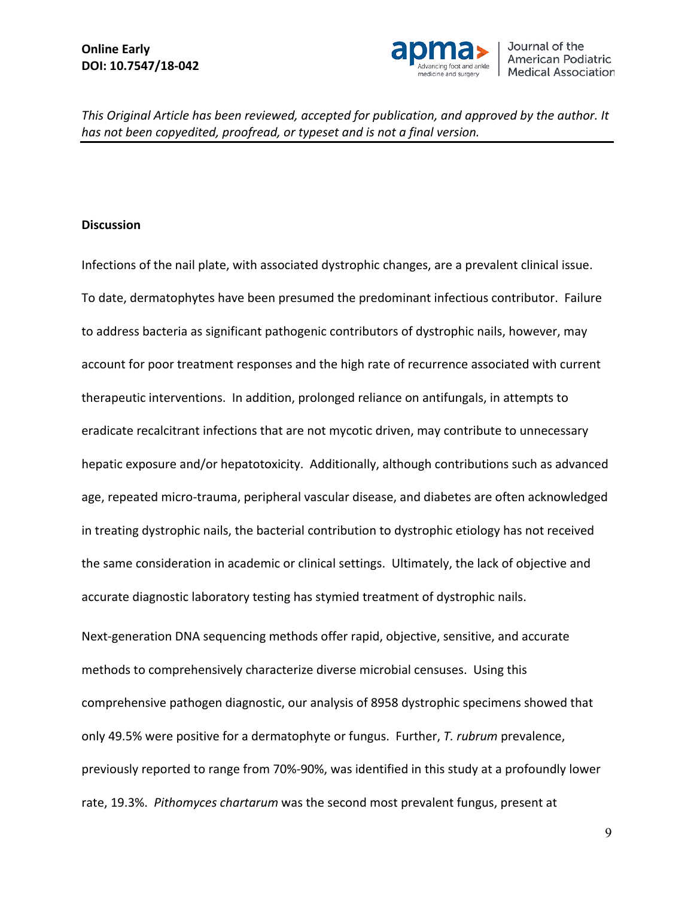

#### **Discussion**

Infections of the nail plate, with associated dystrophic changes, are a prevalent clinical issue. To date, dermatophytes have been presumed the predominant infectious contributor. Failure to address bacteria as significant pathogenic contributors of dystrophic nails, however, may account for poor treatment responses and the high rate of recurrence associated with current therapeutic interventions. In addition, prolonged reliance on antifungals, in attempts to eradicate recalcitrant infections that are not mycotic driven, may contribute to unnecessary hepatic exposure and/or hepatotoxicity. Additionally, although contributions such as advanced age, repeated micro-trauma, peripheral vascular disease, and diabetes are often acknowledged in treating dystrophic nails, the bacterial contribution to dystrophic etiology has not received the same consideration in academic or clinical settings. Ultimately, the lack of objective and accurate diagnostic laboratory testing has stymied treatment of dystrophic nails.

Next-generation DNA sequencing methods offer rapid, objective, sensitive, and accurate methods to comprehensively characterize diverse microbial censuses. Using this comprehensive pathogen diagnostic, our analysis of 8958 dystrophic specimens showed that only 49.5% were positive for a dermatophyte or fungus. Further, *T. rubrum* prevalence, previously reported to range from 70%-90%, was identified in this study at a profoundly lower rate, 19.3%. *Pithomyces chartarum* was the second most prevalent fungus, present at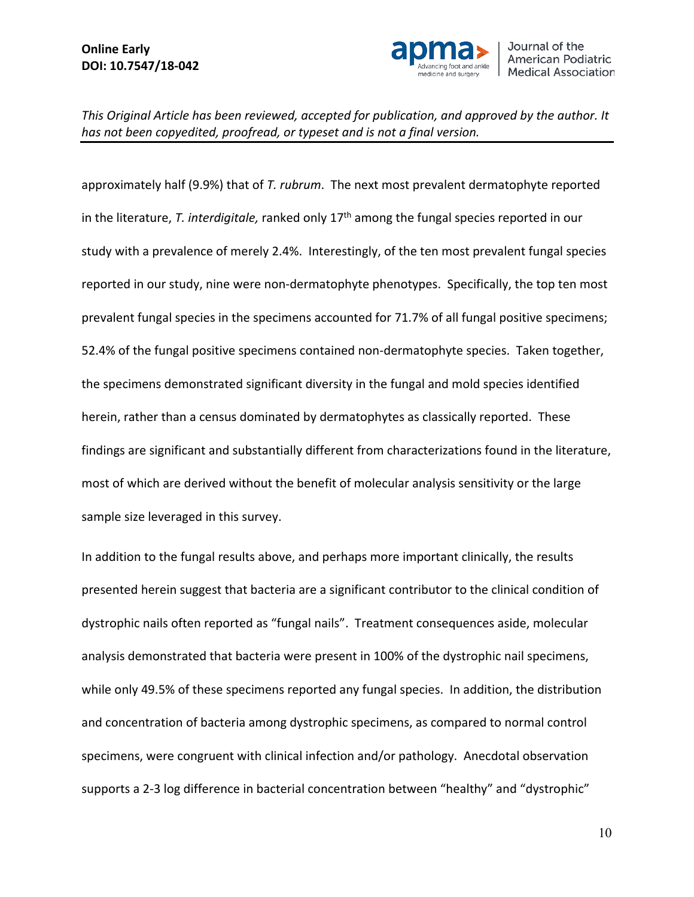

approximately half (9.9%) that of *T. rubrum*. The next most prevalent dermatophyte reported in the literature, *T. interdigitale,* ranked only 17th among the fungal species reported in our study with a prevalence of merely 2.4%. Interestingly, of the ten most prevalent fungal species reported in our study, nine were non-dermatophyte phenotypes. Specifically, the top ten most prevalent fungal species in the specimens accounted for 71.7% of all fungal positive specimens; 52.4% of the fungal positive specimens contained non-dermatophyte species. Taken together, the specimens demonstrated significant diversity in the fungal and mold species identified herein, rather than a census dominated by dermatophytes as classically reported. These findings are significant and substantially different from characterizations found in the literature, most of which are derived without the benefit of molecular analysis sensitivity or the large sample size leveraged in this survey.

In addition to the fungal results above, and perhaps more important clinically, the results presented herein suggest that bacteria are a significant contributor to the clinical condition of dystrophic nails often reported as "fungal nails". Treatment consequences aside, molecular analysis demonstrated that bacteria were present in 100% of the dystrophic nail specimens, while only 49.5% of these specimens reported any fungal species. In addition, the distribution and concentration of bacteria among dystrophic specimens, as compared to normal control specimens, were congruent with clinical infection and/or pathology. Anecdotal observation supports a 2-3 log difference in bacterial concentration between "healthy" and "dystrophic"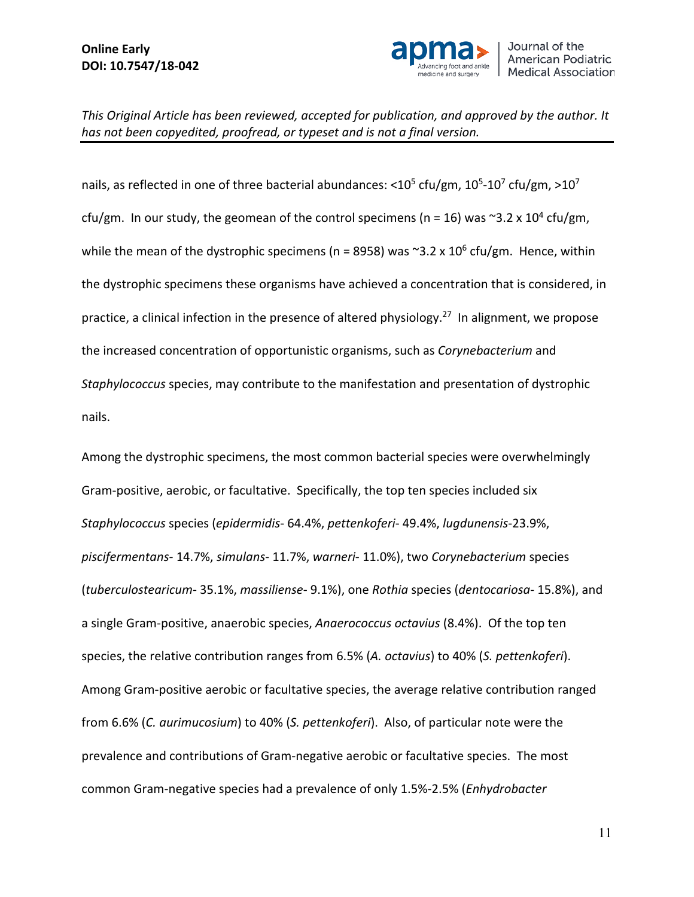

nails, as reflected in one of three bacterial abundances: <10<sup>5</sup> cfu/gm, 10<sup>5</sup>-10<sup>7</sup> cfu/gm, >10<sup>7</sup> cfu/gm. In our study, the geomean of the control specimens (n = 16) was  $\approx$ 3.2 x 10<sup>4</sup> cfu/gm, while the mean of the dystrophic specimens (n = 8958) was  $\approx$ 3.2 x 10<sup>6</sup> cfu/gm. Hence, within the dystrophic specimens these organisms have achieved a concentration that is considered, in practice, a clinical infection in the presence of altered physiology.<sup>27</sup> In alignment, we propose the increased concentration of opportunistic organisms, such as *Corynebacterium* and *Staphylococcus* species, may contribute to the manifestation and presentation of dystrophic nails.

Among the dystrophic specimens, the most common bacterial species were overwhelmingly Gram-positive, aerobic, or facultative. Specifically, the top ten species included six *Staphylococcus* species (*epidermidis*- 64.4%, *pettenkoferi*- 49.4%, *lugdunensis*-23.9%, *piscifermentans*- 14.7%, *simulans*- 11.7%, *warneri*- 11.0%), two *Corynebacterium* species (*tuberculostearicum*- 35.1%, *massiliense*- 9.1%), one *Rothia* species (*dentocariosa*- 15.8%), and a single Gram-positive, anaerobic species, *Anaerococcus octavius* (8.4%). Of the top ten species, the relative contribution ranges from 6.5% (*A. octavius*) to 40% (*S. pettenkoferi*). Among Gram-positive aerobic or facultative species, the average relative contribution ranged from 6.6% (*C. aurimucosium*) to 40% (*S. pettenkoferi*). Also, of particular note were the prevalence and contributions of Gram-negative aerobic or facultative species. The most common Gram-negative species had a prevalence of only 1.5%-2.5% (*Enhydrobacter*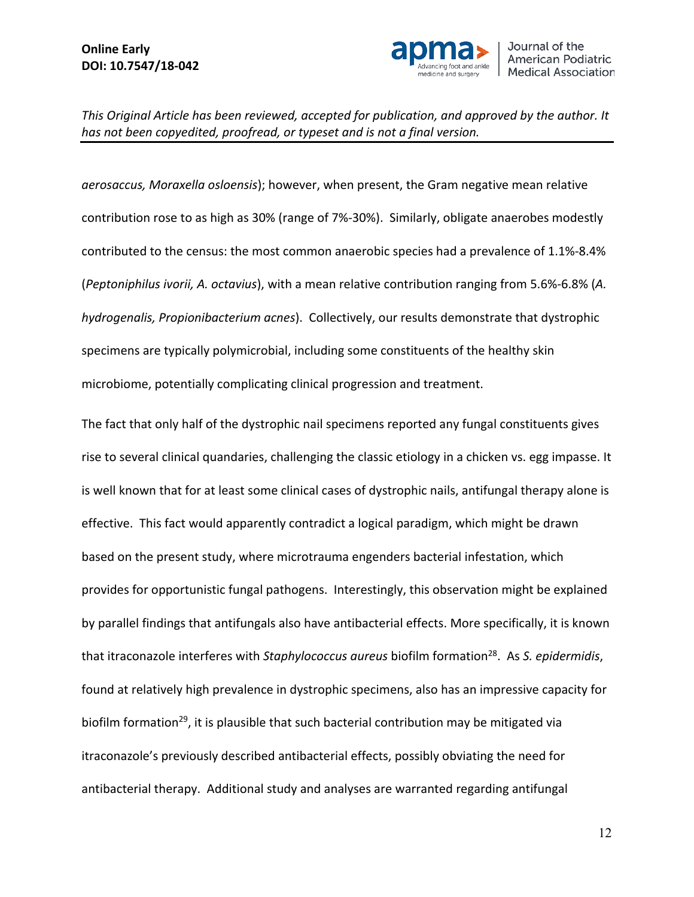

*aerosaccus, Moraxella osloensis*); however, when present, the Gram negative mean relative contribution rose to as high as 30% (range of 7%-30%). Similarly, obligate anaerobes modestly contributed to the census: the most common anaerobic species had a prevalence of 1.1%-8.4% (*Peptoniphilus ivorii, A. octavius*), with a mean relative contribution ranging from 5.6%-6.8% (*A. hydrogenalis, Propionibacterium acnes*). Collectively, our results demonstrate that dystrophic specimens are typically polymicrobial, including some constituents of the healthy skin microbiome, potentially complicating clinical progression and treatment.

The fact that only half of the dystrophic nail specimens reported any fungal constituents gives rise to several clinical quandaries, challenging the classic etiology in a chicken vs. egg impasse. It is well known that for at least some clinical cases of dystrophic nails, antifungal therapy alone is effective. This fact would apparently contradict a logical paradigm, which might be drawn based on the present study, where microtrauma engenders bacterial infestation, which provides for opportunistic fungal pathogens. Interestingly, this observation might be explained by parallel findings that antifungals also have antibacterial effects. More specifically, it is known that itraconazole interferes with *Staphylococcus aureus* biofilm formation28. As *S. epidermidis*, found at relatively high prevalence in dystrophic specimens, also has an impressive capacity for biofilm formation<sup>29</sup>, it is plausible that such bacterial contribution may be mitigated via itraconazole's previously described antibacterial effects, possibly obviating the need for antibacterial therapy. Additional study and analyses are warranted regarding antifungal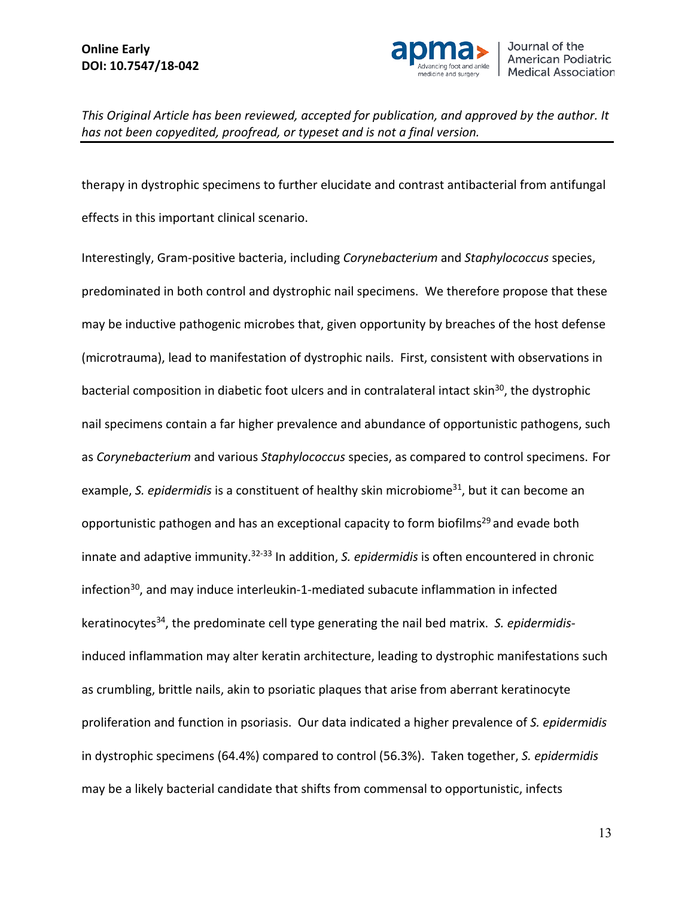

therapy in dystrophic specimens to further elucidate and contrast antibacterial from antifungal effects in this important clinical scenario.

Interestingly, Gram-positive bacteria, including *Corynebacterium* and *Staphylococcus* species, predominated in both control and dystrophic nail specimens. We therefore propose that these may be inductive pathogenic microbes that, given opportunity by breaches of the host defense (microtrauma), lead to manifestation of dystrophic nails. First, consistent with observations in bacterial composition in diabetic foot ulcers and in contralateral intact skin<sup>30</sup>, the dystrophic nail specimens contain a far higher prevalence and abundance of opportunistic pathogens, such as *Corynebacterium* and various *Staphylococcus* species, as compared to control specimens. For example, S. *epidermidis* is a constituent of healthy skin microbiome<sup>31</sup>, but it can become an opportunistic pathogen and has an exceptional capacity to form biofilms<sup>29</sup> and evade both innate and adaptive immunity.32-33 In addition, *S. epidermidis* is often encountered in chronic infection<sup>30</sup>, and may induce interleukin-1-mediated subacute inflammation in infected keratinocytes<sup>34</sup>, the predominate cell type generating the nail bed matrix. S. epidermidisinduced inflammation may alter keratin architecture, leading to dystrophic manifestations such as crumbling, brittle nails, akin to psoriatic plaques that arise from aberrant keratinocyte proliferation and function in psoriasis. Our data indicated a higher prevalence of *S. epidermidis* in dystrophic specimens (64.4%) compared to control (56.3%). Taken together, *S. epidermidis* may be a likely bacterial candidate that shifts from commensal to opportunistic, infects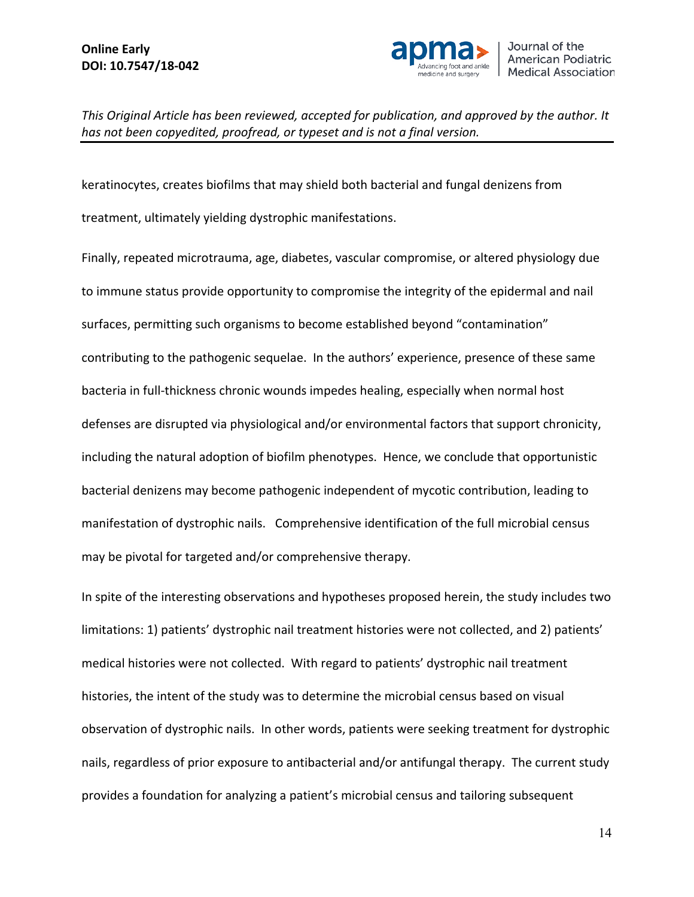

keratinocytes, creates biofilms that may shield both bacterial and fungal denizens from treatment, ultimately yielding dystrophic manifestations.

Finally, repeated microtrauma, age, diabetes, vascular compromise, or altered physiology due to immune status provide opportunity to compromise the integrity of the epidermal and nail surfaces, permitting such organisms to become established beyond "contamination" contributing to the pathogenic sequelae. In the authors' experience, presence of these same bacteria in full-thickness chronic wounds impedes healing, especially when normal host defenses are disrupted via physiological and/or environmental factors that support chronicity, including the natural adoption of biofilm phenotypes. Hence, we conclude that opportunistic bacterial denizens may become pathogenic independent of mycotic contribution, leading to manifestation of dystrophic nails. Comprehensive identification of the full microbial census may be pivotal for targeted and/or comprehensive therapy.

In spite of the interesting observations and hypotheses proposed herein, the study includes two limitations: 1) patients' dystrophic nail treatment histories were not collected, and 2) patients' medical histories were not collected. With regard to patients' dystrophic nail treatment histories, the intent of the study was to determine the microbial census based on visual observation of dystrophic nails. In other words, patients were seeking treatment for dystrophic nails, regardless of prior exposure to antibacterial and/or antifungal therapy. The current study provides a foundation for analyzing a patient's microbial census and tailoring subsequent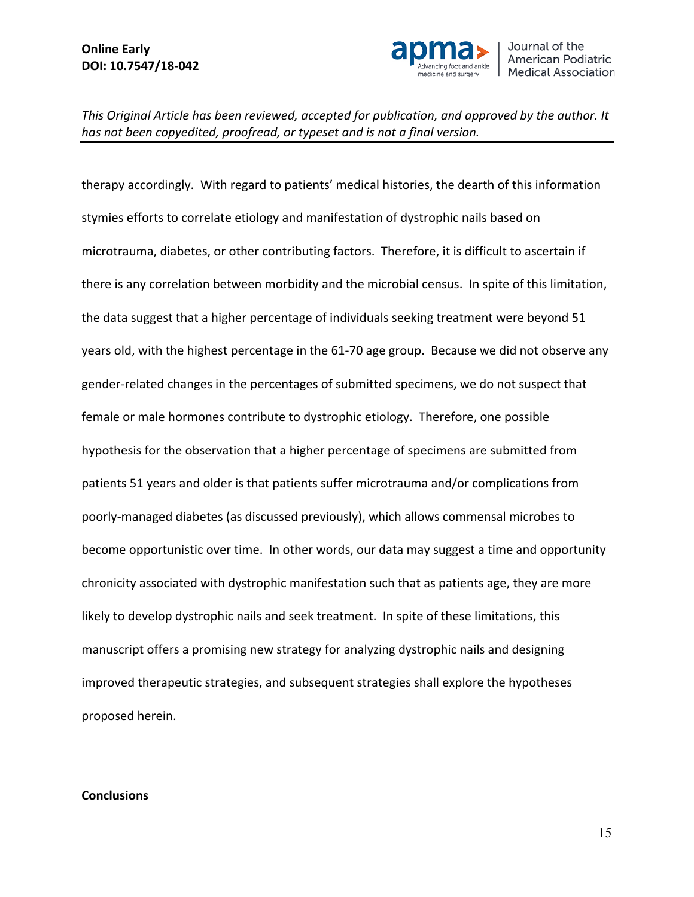

therapy accordingly. With regard to patients' medical histories, the dearth of this information stymies efforts to correlate etiology and manifestation of dystrophic nails based on microtrauma, diabetes, or other contributing factors. Therefore, it is difficult to ascertain if there is any correlation between morbidity and the microbial census. In spite of this limitation, the data suggest that a higher percentage of individuals seeking treatment were beyond 51 years old, with the highest percentage in the 61-70 age group. Because we did not observe any gender-related changes in the percentages of submitted specimens, we do not suspect that female or male hormones contribute to dystrophic etiology. Therefore, one possible hypothesis for the observation that a higher percentage of specimens are submitted from patients 51 years and older is that patients suffer microtrauma and/or complications from poorly-managed diabetes (as discussed previously), which allows commensal microbes to become opportunistic over time. In other words, our data may suggest a time and opportunity chronicity associated with dystrophic manifestation such that as patients age, they are more likely to develop dystrophic nails and seek treatment. In spite of these limitations, this manuscript offers a promising new strategy for analyzing dystrophic nails and designing improved therapeutic strategies, and subsequent strategies shall explore the hypotheses proposed herein.

#### **Conclusions**

15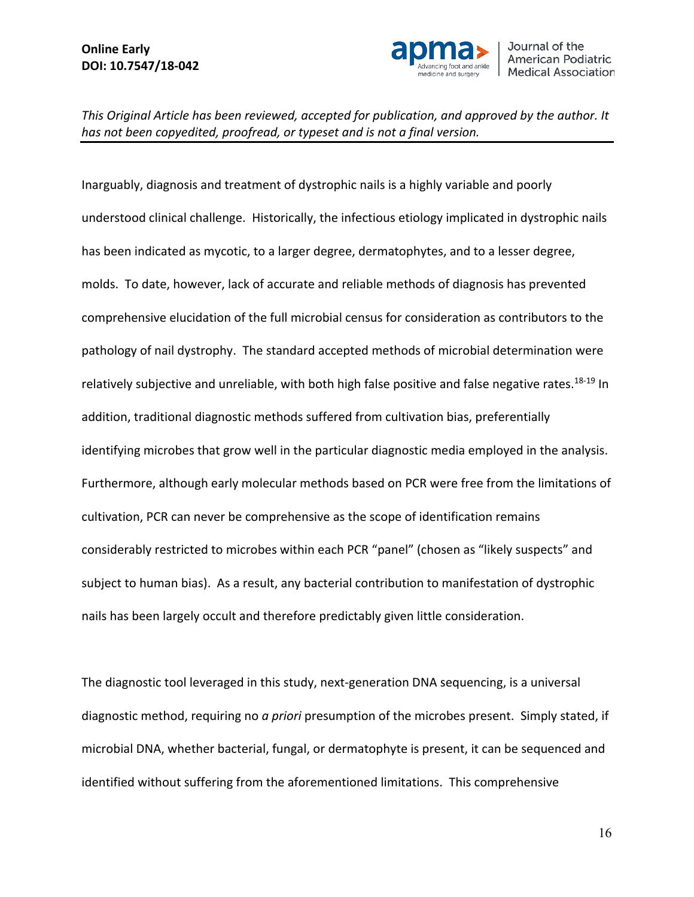

Inarguably, diagnosis and treatment of dystrophic nails is a highly variable and poorly understood clinical challenge. Historically, the infectious etiology implicated in dystrophic nails has been indicated as mycotic, to a larger degree, dermatophytes, and to a lesser degree, molds. To date, however, lack of accurate and reliable methods of diagnosis has prevented comprehensive elucidation of the full microbial census for consideration as contributors to the pathology of nail dystrophy. The standard accepted methods of microbial determination were relatively subjective and unreliable, with both high false positive and false negative rates.<sup>18-19</sup> In addition, traditional diagnostic methods suffered from cultivation bias, preferentially identifying microbes that grow well in the particular diagnostic media employed in the analysis. Furthermore, although early molecular methods based on PCR were free from the limitations of cultivation, PCR can never be comprehensive as the scope of identification remains considerably restricted to microbes within each PCR "panel" (chosen as "likely suspects" and subject to human bias). As a result, any bacterial contribution to manifestation of dystrophic nails has been largely occult and therefore predictably given little consideration.

The diagnostic tool leveraged in this study, next-generation DNA sequencing, is a universal diagnostic method, requiring no *a priori* presumption of the microbes present. Simply stated, if microbial DNA, whether bacterial, fungal, or dermatophyte is present, it can be sequenced and identified without suffering from the aforementioned limitations. This comprehensive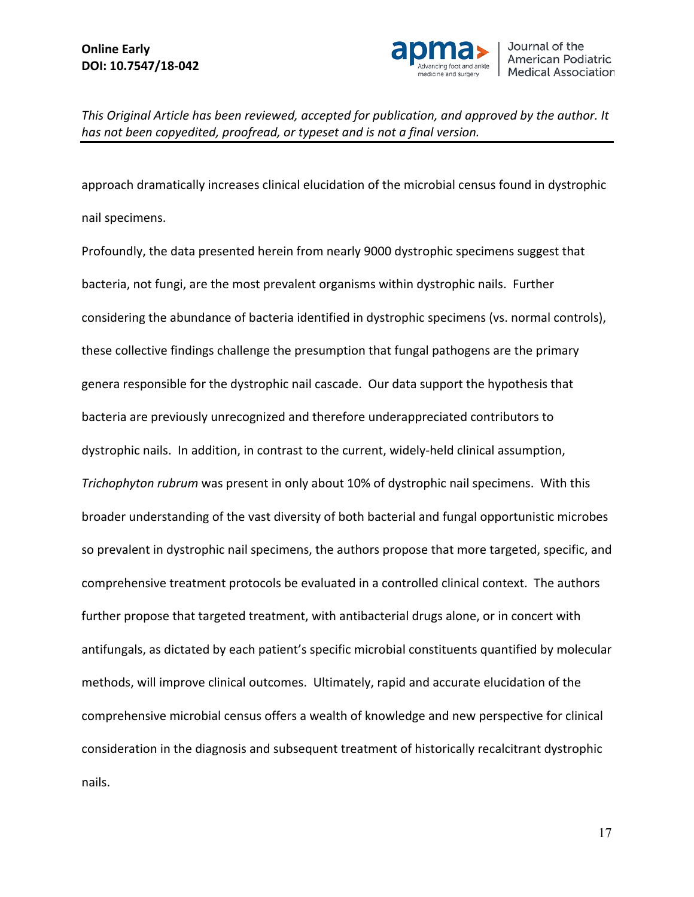

approach dramatically increases clinical elucidation of the microbial census found in dystrophic nail specimens.

Profoundly, the data presented herein from nearly 9000 dystrophic specimens suggest that bacteria, not fungi, are the most prevalent organisms within dystrophic nails. Further considering the abundance of bacteria identified in dystrophic specimens (vs. normal controls), these collective findings challenge the presumption that fungal pathogens are the primary genera responsible for the dystrophic nail cascade. Our data support the hypothesis that bacteria are previously unrecognized and therefore underappreciated contributors to dystrophic nails. In addition, in contrast to the current, widely-held clinical assumption, *Trichophyton rubrum* was present in only about 10% of dystrophic nail specimens. With this broader understanding of the vast diversity of both bacterial and fungal opportunistic microbes so prevalent in dystrophic nail specimens, the authors propose that more targeted, specific, and comprehensive treatment protocols be evaluated in a controlled clinical context. The authors further propose that targeted treatment, with antibacterial drugs alone, or in concert with antifungals, as dictated by each patient's specific microbial constituents quantified by molecular methods, will improve clinical outcomes. Ultimately, rapid and accurate elucidation of the comprehensive microbial census offers a wealth of knowledge and new perspective for clinical consideration in the diagnosis and subsequent treatment of historically recalcitrant dystrophic nails.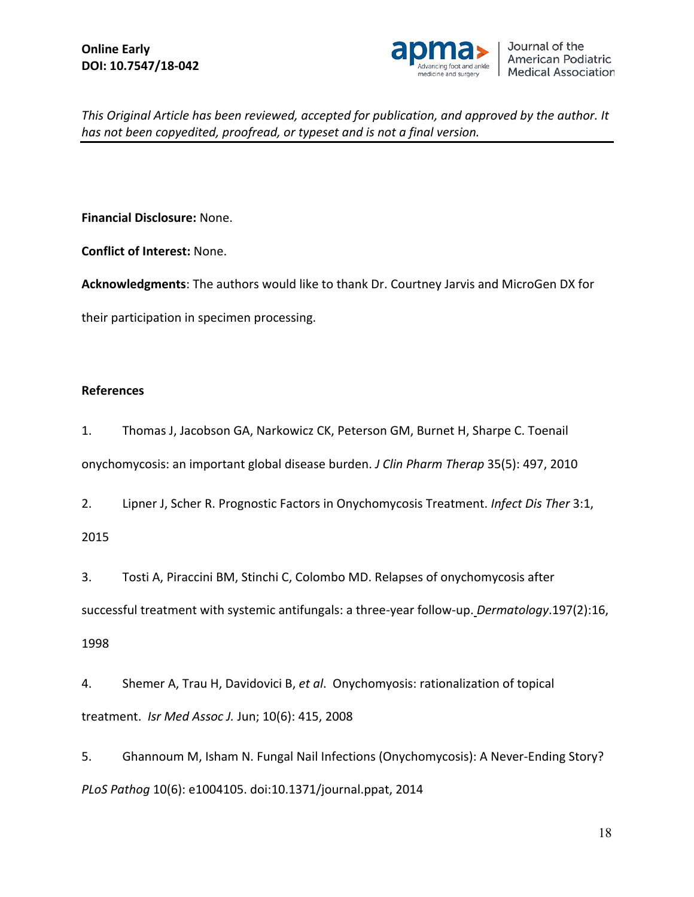

**Financial Disclosure:** None.

**Conflict of Interest:** None.

**Acknowledgments**: The authors would like to thank Dr. Courtney Jarvis and MicroGen DX for

their participation in specimen processing.

### **References**

1. Thomas J, Jacobson GA, Narkowicz CK, Peterson GM, Burnet H, Sharpe C. Toenail onychomycosis: an important global disease burden. *J Clin Pharm Therap* 35(5): 497, 2010

2. Lipner J, Scher R. Prognostic Factors in Onychomycosis Treatment. *Infect Dis Ther* 3:1, 2015

3. [Tosti](about:blank) A, [Piraccini](about:blank) BM, [Stinchi](about:blank) C, [Colombo](about:blank) MD. Relapses of onychomycosis after successful treatment with systemic antifungals: a three-year follow-up. *Dermatology*.197(2):16, 1998

4. Shemer A, Trau H, Davidovici B, *et al*. Onychomyosis: rationalization of topical treatment. *Isr Med Assoc J.* Jun; 10(6): 415, 2008

5. Ghannoum M, Isham N. Fungal Nail Infections (Onychomycosis): A Never-Ending Story? *PLoS Pathog* 10(6): e1004105. doi:10.1371/journal.ppat, 2014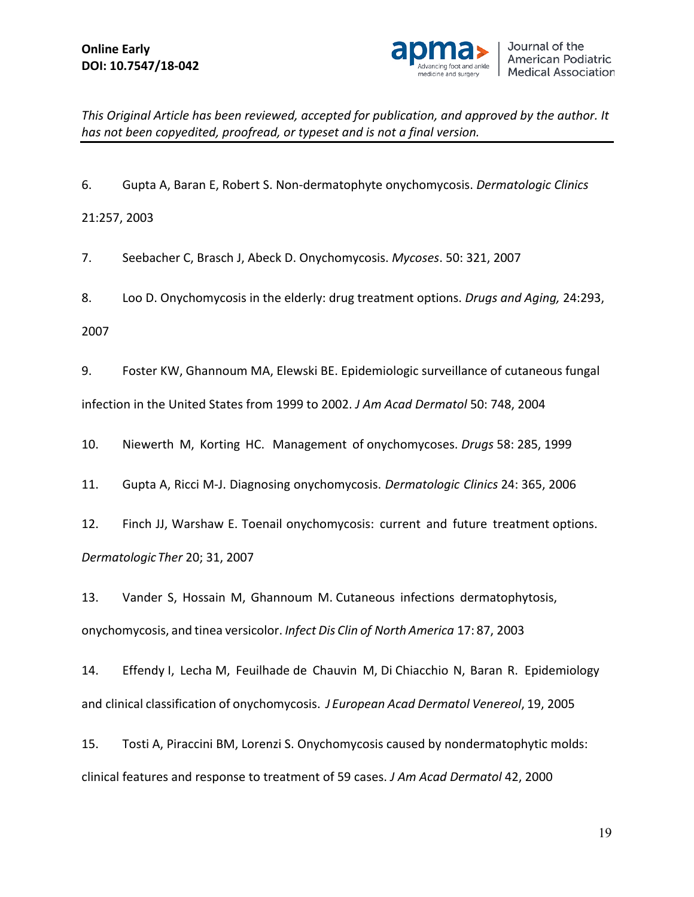

6. Gupta A, Baran E, Robert S. Non-dermatophyte onychomycosis. *Dermatologic Clinics* 21:257, 2003

7. Seebacher C, Brasch J, Abeck D. Onychomycosis. *Mycoses*. 50: 321, 2007

8. Loo D. Onychomycosis in the elderly: drug treatment options. *Drugs and Aging,* 24:293, 2007

9. Foster KW, Ghannoum MA, Elewski BE. Epidemiologic surveillance of cutaneous fungal infection in the United States from 1999 to 2002. *J Am Acad Dermatol* 50: 748, 2004

10. Niewerth M, Korting HC. Management of onychomycoses. *Drugs* 58: 285, 1999

11. Gupta A, Ricci M-J. Diagnosing onychomycosis. *Dermatologic Clinics* 24: 365, 2006

12. Finch JJ, Warshaw E. Toenail onychomycosis: current and future treatment options. *DermatologicTher* 20; 31, 2007

13. Vander S, Hossain M, Ghannoum M. Cutaneous infections dermatophytosis, onychomycosis, and tinea versicolor. *Infect Dis Clin of North America* 17: 87, 2003

14. Effendy I, Lecha M, Feuilhade de Chauvin M, Di Chiacchio N, Baran R. Epidemiology and clinical classification of onychomycosis. *J European Acad Dermatol Venereol*, 19, 2005

15. Tosti A, Piraccini BM, Lorenzi S. Onychomycosis caused by nondermatophytic molds: clinical features and response to treatment of 59 cases. *J Am Acad Dermatol* 42, 2000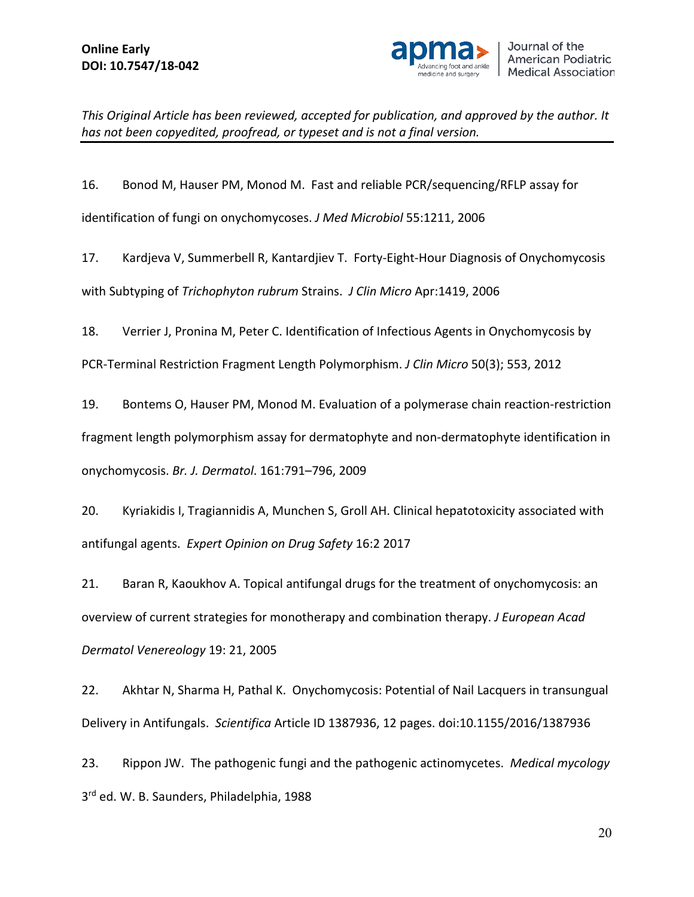

16. Bonod M, Hauser PM, Monod M. Fast and reliable PCR/sequencing/RFLP assay for

identification of fungi on onychomycoses. *J Med Microbiol* 55:1211, 2006

17. Kardjeva V, Summerbell R, Kantardjiev T. Forty-Eight-Hour Diagnosis of Onychomycosis with Subtyping of *Trichophyton rubrum* Strains. *J Clin Micro* Apr:1419, 2006

18. Verrier J, Pronina M, Peter C. Identification of Infectious Agents in Onychomycosis by

PCR-Terminal Restriction Fragment Length Polymorphism. *J Clin Micro* 50(3); 553, 2012

19. Bontems O, Hauser PM, Monod M. Evaluation of a polymerase chain reaction-restriction fragment length polymorphism assay for dermatophyte and non-dermatophyte identification in onychomycosis. *Br. J. Dermatol*. 161:791–796, 2009

20. Kyriakidis I, Tragiannidis A, Munchen S, Groll AH. Clinical hepatotoxicity associated with antifungal agents. *Expert Opinion on Drug Safety* 16:2 2017

21. Baran R, Kaoukhov A. Topical antifungal drugs for the treatment of onychomycosis: an overview of current strategies for monotherapy and combination therapy. *J European Acad Dermatol Venereology* 19: 21, 2005

22. Akhtar N, Sharma H, Pathal K. Onychomycosis: Potential of Nail Lacquers in transungual Delivery in Antifungals. *Scientifica* Article ID 1387936, 12 pages. doi:10.1155/2016/1387936

23. Rippon JW. The pathogenic fungi and the pathogenic actinomycetes. *Medical mycology* 3rd ed. W. B. Saunders, Philadelphia, 1988

20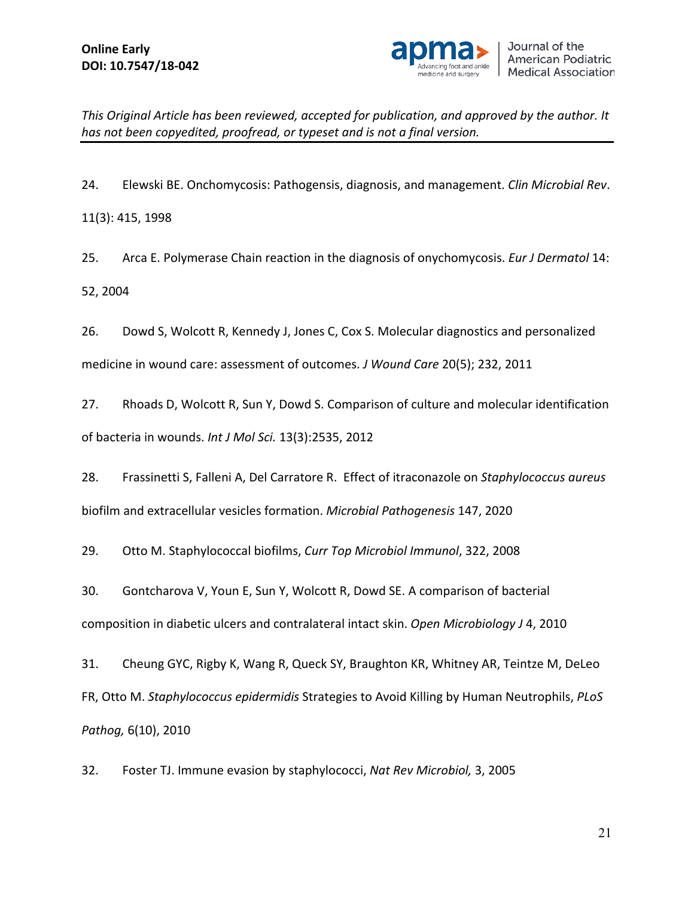

24. Elewski BE. Onchomycosis: Pathogensis, diagnosis, and management. *Clin Microbial Rev*. 11(3): 415, 1998

25. Arca E. Polymerase Chain reaction in the diagnosis of onychomycosis. *Eur J Dermatol* 14: 52, 2004

26. Dowd S, Wolcott R, Kennedy J, Jones C, Cox S. Molecular diagnostics and personalized medicine in wound care: assessment of outcomes. *J Wound Care* 20(5); 232, 2011

27. Rhoads D, Wolcott R, Sun Y, Dowd S. Comparison of culture and molecular identification of bacteria in wounds. *Int J Mol Sci.* 13(3):2535, 2012

28. Frassinetti S, Falleni A, Del Carratore R. Effect of itraconazole on *Staphylococcus aureus* biofilm and extracellular vesicles formation. *Microbial Pathogenesis* 147, 2020

29. Otto M. Staphylococcal biofilms, *Curr Top Microbiol Immunol*, 322, 2008

30. Gontcharova V, Youn E, Sun Y, Wolcott R, Dowd SE. A comparison of bacterial composition in diabetic ulcers and contralateral intact skin. *Open Microbiology J* 4, 2010

31. Cheung GYC, Rigby K, Wang R, Queck SY, Braughton KR, Whitney AR, Teintze M, DeLeo FR, Otto M. *Staphylococcus epidermidis* Strategies to Avoid Killing by Human Neutrophils, *PLoS Pathog,* 6(10), 2010

32. Foster TJ. Immune evasion by staphylococci, *Nat Rev Microbiol,* 3, 2005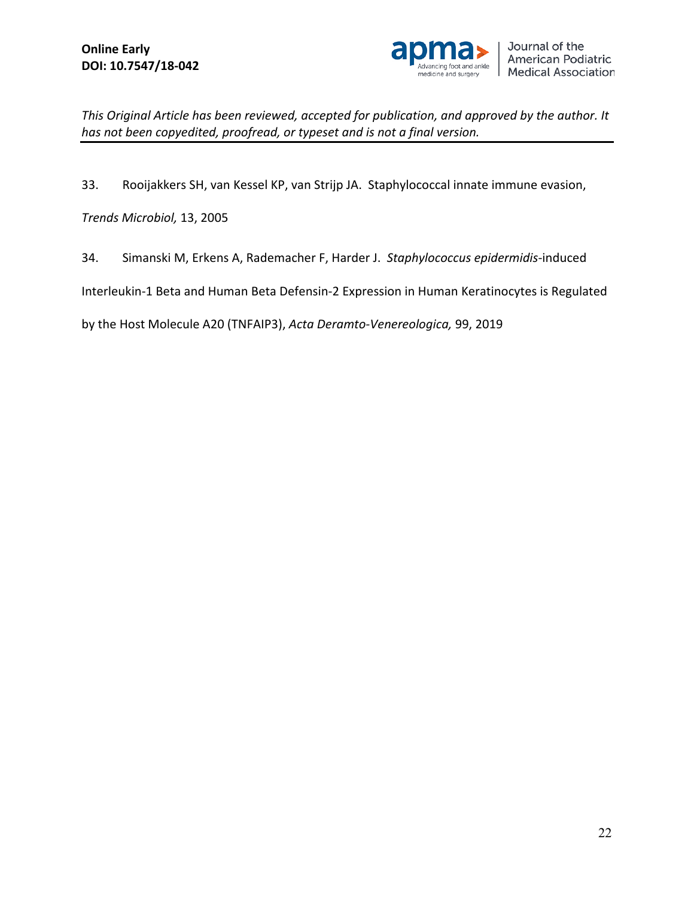

33. Rooijakkers SH, van Kessel KP, van Strijp JA. Staphylococcal innate immune evasion,

*Trends Microbiol,* 13, 2005

34. Simanski M, Erkens A, Rademacher F, Harder J. *Staphylococcus epidermidis*-induced

Interleukin-1 Beta and Human Beta Defensin-2 Expression in Human Keratinocytes is Regulated

by the Host Molecule A20 (TNFAIP3), *Acta Deramto-Venereologica,* 99, 2019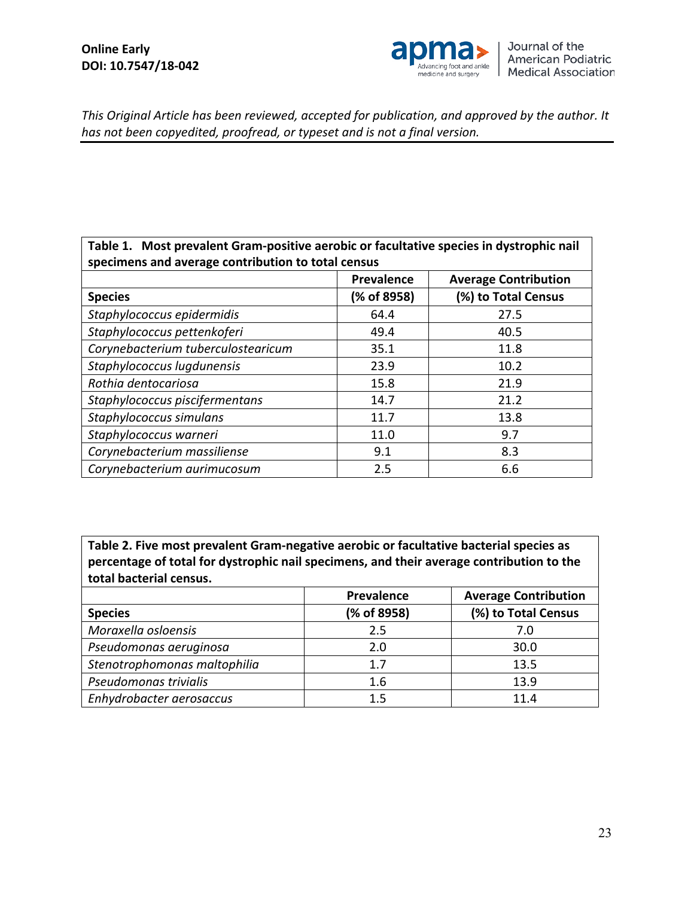

### **Table 1. Most prevalent Gram-positive aerobic or facultative species in dystrophic nail specimens and average contribution to total census**

| specimens and average continuation to total census |                   |                             |  |  |
|----------------------------------------------------|-------------------|-----------------------------|--|--|
|                                                    | <b>Prevalence</b> | <b>Average Contribution</b> |  |  |
| <b>Species</b>                                     | (% of 8958)       | (%) to Total Census         |  |  |
| Staphylococcus epidermidis                         | 64.4              | 27.5                        |  |  |
| Staphylococcus pettenkoferi                        | 49.4              | 40.5                        |  |  |
| Corynebacterium tuberculostearicum                 | 35.1              | 11.8                        |  |  |
| Staphylococcus lugdunensis                         | 23.9              | 10.2                        |  |  |
| Rothia dentocariosa                                | 15.8              | 21.9                        |  |  |
| Staphylococcus piscifermentans                     | 14.7              | 21.2                        |  |  |
| Staphylococcus simulans                            | 11.7              | 13.8                        |  |  |
| Staphylococcus warneri                             | 11.0              | 9.7                         |  |  |
| Corynebacterium massiliense                        | 9.1               | 8.3                         |  |  |
| Corynebacterium aurimucosum                        | 2.5               | 6.6                         |  |  |

**Table 2. Five most prevalent Gram-negative aerobic or facultative bacterial species as percentage of total for dystrophic nail specimens, and their average contribution to the total bacterial census.** 

|                              | Prevalence  | <b>Average Contribution</b> |
|------------------------------|-------------|-----------------------------|
| <b>Species</b>               | (% of 8958) | (%) to Total Census         |
| Moraxella osloensis          | 2.5         | 7.0                         |
| Pseudomonas aeruginosa       | 2.0         | 30.0                        |
| Stenotrophomonas maltophilia | 1.7         | 13.5                        |
| Pseudomonas trivialis        | 1.6         | 13.9                        |
| Enhydrobacter aerosaccus     | $1.5\,$     | 11.4                        |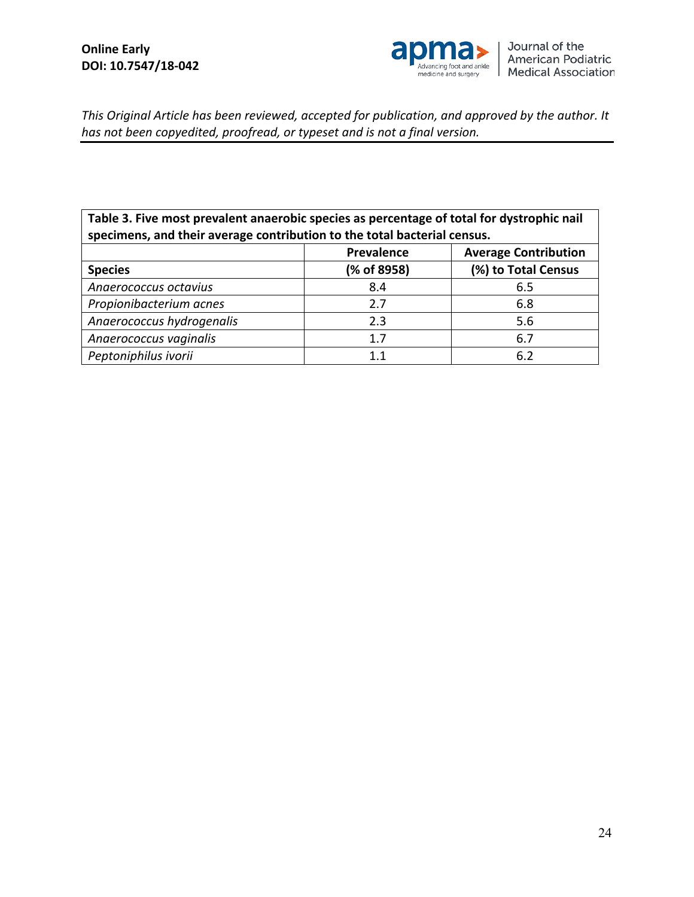

**Table 3. Five most prevalent anaerobic species as percentage of total for dystrophic nail specimens, and their average contribution to the total bacterial census.** 

|                           | Prevalence  | <b>Average Contribution</b> |
|---------------------------|-------------|-----------------------------|
| <b>Species</b>            | (% of 8958) | (%) to Total Census         |
| Anaerococcus octavius     | 8.4         | 6.5                         |
| Propionibacterium acnes   | 2.7         | 6.8                         |
| Anaerococcus hydrogenalis | 2.3         | 5.6                         |
| Anaerococcus vaginalis    | 1.7         | 6.7                         |
| Peptoniphilus ivorii      | 11          | 6.2                         |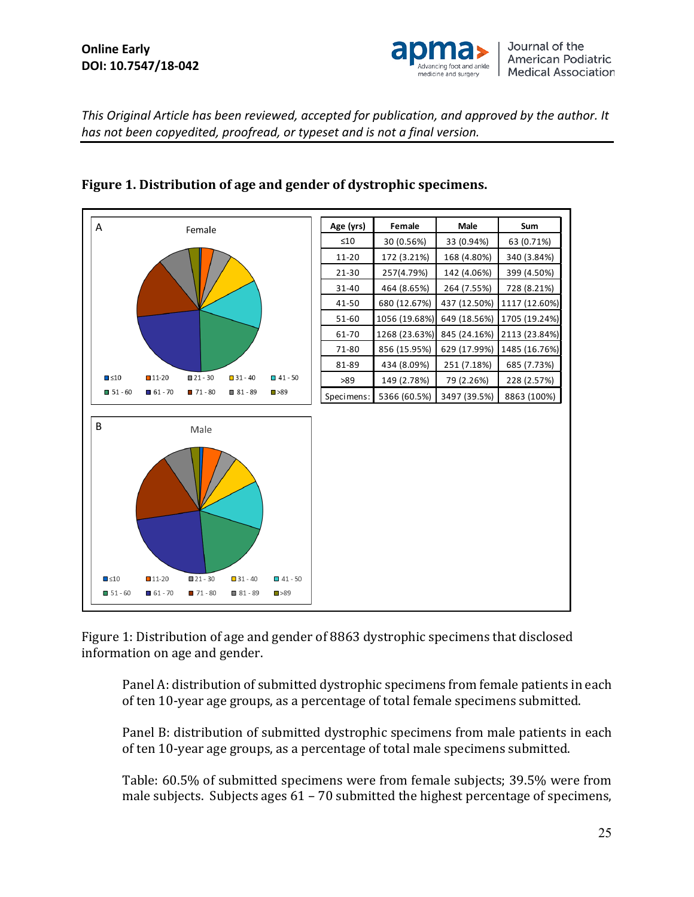### **Online Early DOI: 10.7547/18-042**



*This Original Article has been reviewed, accepted for publication, and approved by the author. It has not been copyedited, proofread, or typeset and is not a final version.*



# **Figure 1. Distribution of age and gender of dystrophic specimens.**

Figure 1: Distribution of age and gender of 8863 dystrophic specimens that disclosed information on age and gender.

Panel A: distribution of submitted dystrophic specimens from female patients in each of ten 10-year age groups, as a percentage of total female specimens submitted.

Panel B: distribution of submitted dystrophic specimens from male patients in each of ten 10-year age groups, as a percentage of total male specimens submitted.

Table: 60.5% of submitted specimens were from female subjects; 39.5% were from male subjects. Subjects ages 61 – 70 submitted the highest percentage of specimens,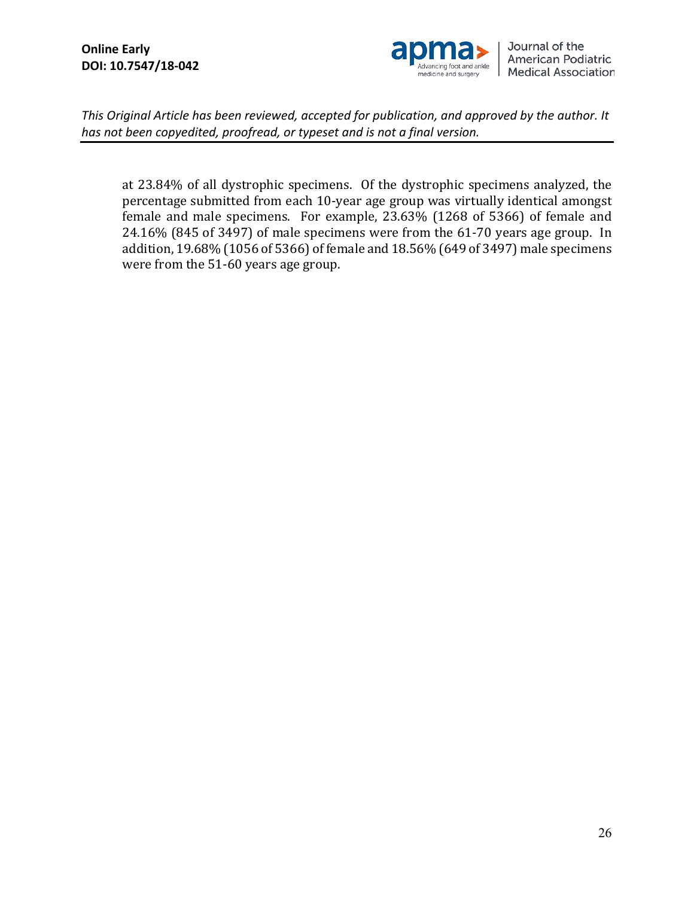

at 23.84% of all dystrophic specimens. Of the dystrophic specimens analyzed, the percentage submitted from each 10-year age group was virtually identical amongst female and male specimens. For example, 23.63% (1268 of 5366) of female and 24.16% (845 of 3497) of male specimens were from the 61-70 years age group. In addition, 19.68% (1056 of 5366) of female and 18.56% (649 of 3497) male specimens were from the 51-60 years age group.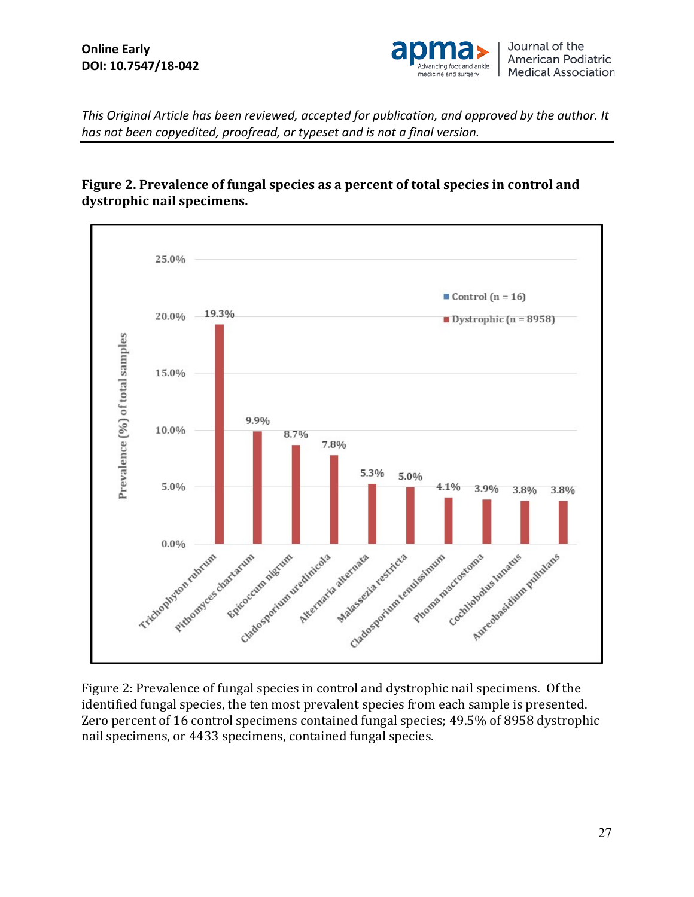

## **Figure 2. Prevalence of fungal species as a percent of total species in control and dystrophic nail specimens.**



Figure 2: Prevalence of fungal species in control and dystrophic nail specimens. Of the identified fungal species, the ten most prevalent species from each sample is presented. Zero percent of 16 control specimens contained fungal species; 49.5% of 8958 dystrophic nail specimens, or 4433 specimens, contained fungal species.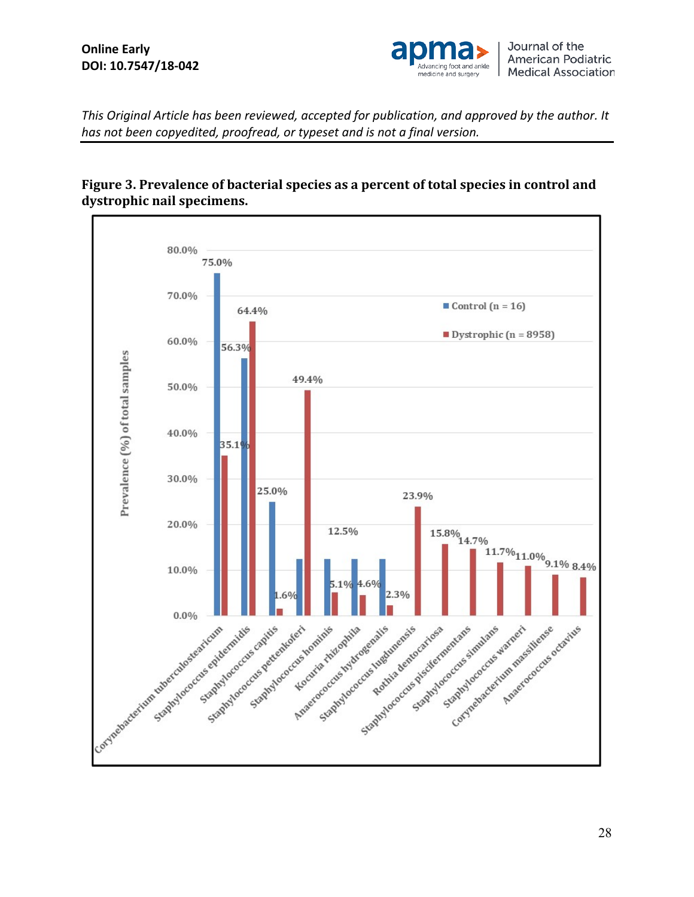

## **Figure 3. Prevalence of bacterial species as a percent of total species in control and dystrophic nail specimens.**